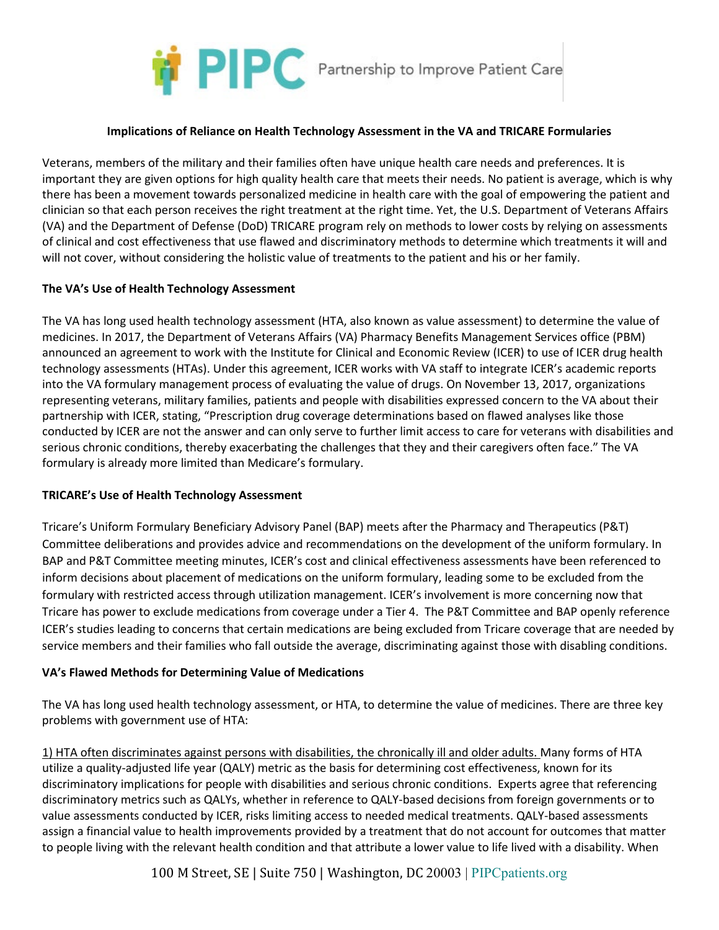

#### **Implications of Reliance on Health Technology Assessment in the VA and TRICARE Formularies**

Veterans, members of the military and their families often have unique health care needs and preferences. It is important they are given options for high quality health care that meets their needs. No patient is average, which is why there has been a movement towards personalized medicine in health care with the goal of empowering the patient and clinician so that each person receives the right treatment at the right time. Yet, the U.S. Department of Veterans Affairs (VA) and the Department of Defense (DoD) TRICARE program rely on methods to lower costs by relying on assessments of clinical and cost effectiveness that use flawed and discriminatory methods to determine which treatments it will and will not cover, without considering the holistic value of treatments to the patient and his or her family.

### **The VA's Use of Health Technology Assessment**

The VA has long used health technology assessment (HTA, also known as value assessment) to determine the value of medicines. In 2017, the Department of Veterans Affairs (VA) Pharmacy Benefits Management Services office (PBM) announced an agreement to work with the Institute for Clinical and Economic Review (ICER) to use of ICER drug health technology assessments (HTAs). Under this agreement, ICER works with VA staff to integrate ICER's academic reports into the VA formulary management process of evaluating the value of drugs. On November 13, 2017, organizations representing veterans, military families, patients and people with disabilities expressed concern to the VA about their partnership with ICER, stating, "Prescription drug coverage determinations based on flawed analyses like those conducted by ICER are not the answer and can only serve to further limit access to care for veterans with disabilities and serious chronic conditions, thereby exacerbating the challenges that they and their caregivers often face." The VA formulary is already more limited than Medicare's formulary.

#### **TRICARE's Use of Health Technology Assessment**

Tricare's Uniform Formulary Beneficiary Advisory Panel (BAP) meets after the Pharmacy and Therapeutics (P&T) Committee deliberations and provides advice and recommendations on the development of the uniform formulary. In BAP and P&T Committee meeting minutes, ICER's cost and clinical effectiveness assessments have been referenced to inform decisions about placement of medications on the uniform formulary, leading some to be excluded from the formulary with restricted access through utilization management. ICER's involvement is more concerning now that Tricare has power to exclude medications from coverage under a Tier 4. The P&T Committee and BAP openly reference ICER's studies leading to concerns that certain medications are being excluded from Tricare coverage that are needed by service members and their families who fall outside the average, discriminating against those with disabling conditions.

## **VA's Flawed Methods for Determining Value of Medications**

The VA has long used health technology assessment, or HTA, to determine the value of medicines. There are three key problems with government use of HTA:

1) HTA often discriminates against persons with disabilities, the chronically ill and older adults. Many forms of HTA utilize a quality-adjusted life year (QALY) metric as the basis for determining cost effectiveness, known for its discriminatory implications for people with disabilities and serious chronic conditions. Experts agree that referencing discriminatory metrics such as QALYs, whether in reference to QALY-based decisions from foreign governments or to value assessments conducted by ICER, risks limiting access to needed medical treatments. QALY-based assessments assign a financial value to health improvements provided by a treatment that do not account for outcomes that matter to people living with the relevant health condition and that attribute a lower value to life lived with a disability. When